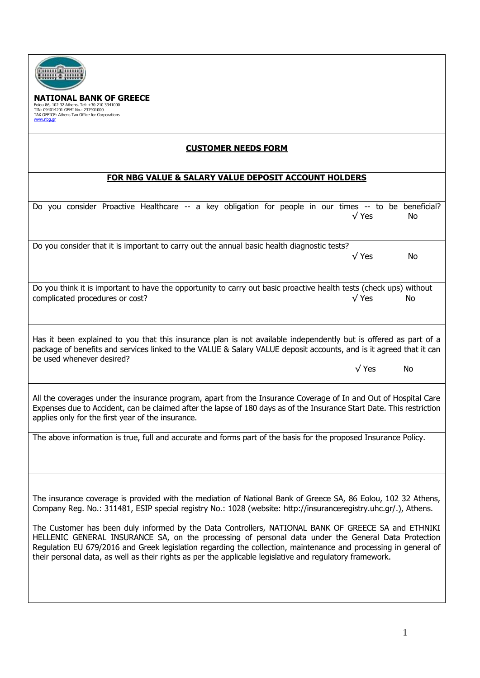| tanın Camalı<br>ONAL BANK OF GREECE<br>Eolou 86, 102 32 Athens, Tel: +30 210 3341000<br>TIN: 094014201 GEMI No.: 237901000<br>TAX OFFICE: Athens Tax Office for Corporations<br>www.nbq.qr                                                                                                                                                                                                                                                                                                                                                                                                                                                                                    |  |  |  |  |
|-------------------------------------------------------------------------------------------------------------------------------------------------------------------------------------------------------------------------------------------------------------------------------------------------------------------------------------------------------------------------------------------------------------------------------------------------------------------------------------------------------------------------------------------------------------------------------------------------------------------------------------------------------------------------------|--|--|--|--|
| <b>CUSTOMER NEEDS FORM</b>                                                                                                                                                                                                                                                                                                                                                                                                                                                                                                                                                                                                                                                    |  |  |  |  |
| FOR NBG VALUE & SALARY VALUE DEPOSIT ACCOUNT HOLDERS                                                                                                                                                                                                                                                                                                                                                                                                                                                                                                                                                                                                                          |  |  |  |  |
| Do you consider Proactive Healthcare -- a key obligation for people in our times -- to be beneficial?<br>$\sqrt{Y}$ es<br>No.                                                                                                                                                                                                                                                                                                                                                                                                                                                                                                                                                 |  |  |  |  |
| Do you consider that it is important to carry out the annual basic health diagnostic tests?<br>$\sqrt{Y}$ es<br>No                                                                                                                                                                                                                                                                                                                                                                                                                                                                                                                                                            |  |  |  |  |
| Do you think it is important to have the opportunity to carry out basic proactive health tests (check ups) without<br>complicated procedures or cost?<br>$\sqrt{Y}$ es<br>No                                                                                                                                                                                                                                                                                                                                                                                                                                                                                                  |  |  |  |  |
| Has it been explained to you that this insurance plan is not available independently but is offered as part of a<br>package of benefits and services linked to the VALUE & Salary VALUE deposit accounts, and is it agreed that it can<br>be used whenever desired?<br>$\sqrt{Y}$ es<br>No                                                                                                                                                                                                                                                                                                                                                                                    |  |  |  |  |
| All the coverages under the insurance program, apart from the Insurance Coverage of In and Out of Hospital Care<br>Expenses due to Accident, can be claimed after the lapse of 180 days as of the Insurance Start Date. This restriction<br>applies only for the first year of the insurance.                                                                                                                                                                                                                                                                                                                                                                                 |  |  |  |  |
| The above information is true, full and accurate and forms part of the basis for the proposed Insurance Policy.                                                                                                                                                                                                                                                                                                                                                                                                                                                                                                                                                               |  |  |  |  |
| The insurance coverage is provided with the mediation of National Bank of Greece SA, 86 Eolou, 102 32 Athens,<br>Company Reg. No.: 311481, ESIP special registry No.: 1028 (website: http://insuranceregistry.uhc.gr/.), Athens.<br>The Customer has been duly informed by the Data Controllers, NATIONAL BANK OF GREECE SA and ETHNIKI<br>HELLENIC GENERAL INSURANCE SA, on the processing of personal data under the General Data Protection<br>Regulation EU 679/2016 and Greek legislation regarding the collection, maintenance and processing in general of<br>their personal data, as well as their rights as per the applicable legislative and regulatory framework. |  |  |  |  |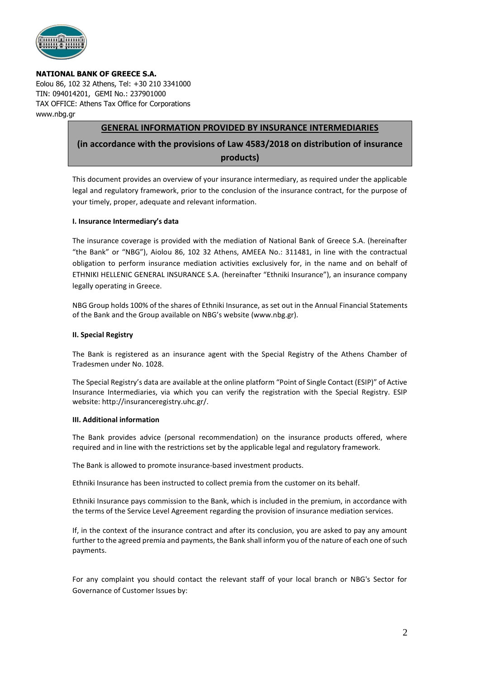

### **NATIONAL BANK OF GREECE S.A.**

Eolou 86, 102 32 Athens, Tel: +30 210 3341000 TIN: 094014201, GEMI No.: 237901000 TAX OFFICE: Athens Tax Office for Corporations www.nbg.gr

## **GENERAL INFORMATION PROVIDED BY INSURANCE INTERMEDIARIES**

# **(in accordance with the provisions of Law 4583/2018 on distribution of insurance products)**

This document provides an overview of your insurance intermediary, as required under the applicable legal and regulatory framework, prior to the conclusion of the insurance contract, for the purpose of your timely, proper, adequate and relevant information.

### **I. Insurance Intermediary's data**

The insurance coverage is provided with the mediation of National Bank of Greece S.A. (hereinafter "the Bank" or "NBG"), Aiolou 86, 102 32 Athens, AMEEA No.: 311481, in line with the contractual obligation to perform insurance mediation activities exclusively for, in the name and on behalf of ETHNIKI HELLENIC GENERAL INSURANCE S.A. (hereinafter "Ethniki Insurance"), an insurance company legally operating in Greece.

NBG Group holds 100% of the shares of Ethniki Insurance, as set out in the Annual Financial Statements of the Bank and the Group available on NBG's website (www.nbg.gr).

### **II. Special Registry**

The Bank is registered as an insurance agent with the Special Registry of the Athens Chamber of Tradesmen under No. 1028.

The Special Registry's data are available at the online platform "Point of Single Contact (ESIP)" of Active Insurance Intermediaries, via which you can verify the registration with the Special Registry. ESIP website: http://insuranceregistry.uhc.gr/.

#### **III. Additional information**

The Bank provides advice (personal recommendation) on the insurance products offered, where required and in line with the restrictions set by the applicable legal and regulatory framework.

The Bank is allowed to promote insurance-based investment products.

Ethniki Insurance has been instructed to collect premia from the customer on its behalf.

Ethniki Insurance pays commission to the Bank, which is included in the premium, in accordance with the terms of the Service Level Agreement regarding the provision of insurance mediation services.

If, in the context of the insurance contract and after its conclusion, you are asked to pay any amount further to the agreed premia and payments, the Bank shall inform you of the nature of each one of such payments.

For any complaint you should contact the relevant staff of your local branch or NBG's Sector for Governance of Customer Issues by: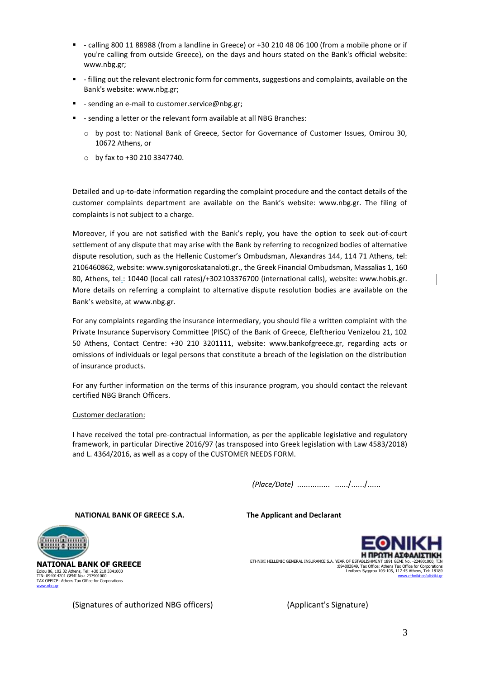- calling 800 11 88988 (from a landline in Greece) or +30 210 48 06 100 (from a mobile phone or if you're calling from outside Greece), on the days and hours stated on the Bank's official website: www.nbg.gr;
- filling out the relevant electronic form for comments, suggestions and complaints, available on the Bank's website: www.nbg.gr;
- - sending an e-mail to customer.service@nbg.gr;
- sending a letter or the relevant form available at all NBG Branches:
	- o by post to: National Bank of Greece, Sector for Governance of Customer Issues, Omirou 30, 10672 Athens, or
	- o by fax to +30 210 3347740.

Detailed and up-to-date information regarding the complaint procedure and the contact details of the customer complaints department are available on the Bank's website: www.nbg.gr. The filing of complaints is not subject to a charge.

Moreover, if you are not satisfied with the Bank's reply, you have the option to seek out-of-court settlement of any dispute that may arise with the Bank by referring to recognized bodies of alternative dispute resolution, such as the Hellenic Customer's Ombudsman, Alexandras 144, 114 71 Athens, tel: 2106460862, website: www.synigoroskatanaloti.gr., the Greek Financial Ombudsman, Massalias 1, 160 80, Athens, tel.: 10440 (local call rates)/+302103376700 (international calls), website: www.hobis.gr. More details on referring a complaint to alternative dispute resolution bodies are available on the Bank's website, at www.nbg.gr.

For any complaints regarding the insurance intermediary, you should file a written complaint with the Private Insurance Supervisory Committee (PISC) of the Bank of Greece, Eleftheriou Venizelou 21, 102 50 Athens, Contact Centre: +30 210 3201111, website: www.bankofgreece.gr, regarding acts or omissions of individuals or legal persons that constitute a breach of the legislation on the distribution of insurance products.

For any further information on the terms of this insurance program, you should contact the relevant certified NBG Branch Officers.

#### Customer declaration:

I have received the total pre-contractual information, as per the applicable legislative and regulatory framework, in particular Directive 2016/97 (as transposed into Greek legislation with Law 4583/2018) and L. 4364/2016, as well as a copy of the CUSTOMER NEEDS FORM.

 *(Place/Date)* …………… ……/……/……

**NATIONAL BANK OF GREECE S.A. The Applicant and Declarant**



**NATIONAL BANK OF GREECE** Eolou 86, 102 32 Athens, Tel: +30 210 3341000<br>TIN: 094014201 GEMI No.: 237901000<br>TAX OFFICE: Athens Tax Office for Corporations<br>[www.nbg.gr](http://www.nbg.gr/)

Η ΠΡΩΤΗ ΑΣΦΑΛΙΣΤΙΚΗ ETHNIKI HELLENIC GENERAL INSURANCE S.A. YEAR OF ESTABLISHMENT 1891 GEMI No. -224801000, TIN :094003849, Tax Office: Athens Tax Office for Corporations Leoforos Syggrou 103-105, 117 45 Athens, Tel: 18189 [www.ethniki-asfalistiki.gr](http://www.ethniki-asfalistiki.gr/)

(Signatures of authorized NBG officers) (Applicant's Signature)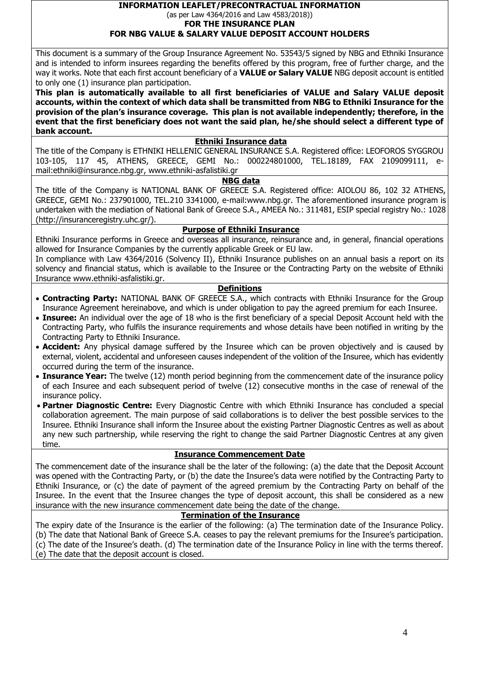## **INFORMATION LEAFLET/PRECONTRACTUAL INFORMATION**  (as per Law 4364/2016 and Law 4583/2018))

**FOR THE INSURANCE PLAN** 

# **FOR NBG VALUE & SALARY VALUE DEPOSIT ACCOUNT HOLDERS**

This document is a summary of the Group Insurance Agreement No. 53543/5 signed by NBG and Ethniki Insurance and is intended to inform insurees regarding the benefits offered by this program, free of further charge, and the way it works. Note that each first account beneficiary of a **VALUE or Salary VALUE** NBG deposit account is entitled to only one (1) insurance plan participation.

**This plan is automatically available to all first beneficiaries of VALUE and Salary VALUE deposit accounts, within the context of which data shall be transmitted from NBG to Ethniki Insurance for the provision of the plan's insurance coverage. This plan is not available independently; therefore, in the event that the first beneficiary does not want the said plan, he/she should select a different type of bank account.**

## **Ethniki Insurance data**

The title of the Company is ETHNIKI HELLENIC GENERAL INSURANCE S.A. Registered office: LEOFOROS SYGGROU 103-105, 117 45, ATHENS, GREECE, GEMI No.: 000224801000, TEL.18189, FAX 2109099111, email:ethniki@insurance.nbg.gr, www.ethniki-asfalistiki.gr

# **NBG data**

The title of the Company is NATIONAL BANK OF GREECE S.A. Registered office: AIOLOU 86, 102 32 ATHENS, GREECE, GEMI No.: 237901000, TEL.210 3341000, e-mail[:www.nbg.gr.](http://www.nbg.gr/) The aforementioned insurance program is undertaken with the mediation of National Bank of Greece S.A., AMEEA No.: 311481, ESIP special registry No.: 1028 (http://insuranceregistry.uhc.gr/).

## **Purpose of Ethniki Insurance**

Ethniki Insurance performs in Greece and overseas all insurance, reinsurance and, in general, financial operations allowed for Insurance Companies by the currently applicable Greek or EU law.

In compliance with Law 4364/2016 (Solvency II), Ethniki Insurance publishes on an annual basis a report on its solvency and financial status, which is available to the Insuree or the Contracting Party on the website of Ethniki Insurance [www.ethniki-asfalistiki.gr.](http://www.ethniki-asfalistiki.gr/)

## **Definitions**

- **Contracting Party:** NATIONAL BANK OF GREECE S.A., which contracts with Ethniki Insurance for the Group Insurance Agreement hereinabove, and which is under obligation to pay the agreed premium for each Insuree.
- **Insuree:** An individual over the age of 18 who is the first beneficiary of a special Deposit Account held with the Contracting Party, who fulfils the insurance requirements and whose details have been notified in writing by the Contracting Party to Ethniki Insurance.
- **Accident:** Any physical damage suffered by the Insuree which can be proven objectively and is caused by external, violent, accidental and unforeseen causes independent of the volition of the Insuree, which has evidently occurred during the term of the insurance.
- **Insurance Year:** The twelve (12) month period beginning from the commencement date of the insurance policy of each Insuree and each subsequent period of twelve (12) consecutive months in the case of renewal of the insurance policy.
- **Partner Diagnostic Centre:** Every Diagnostic Centre with which Ethniki Insurance has concluded a special collaboration agreement. The main purpose of said collaborations is to deliver the best possible services to the Insuree. Ethniki Insurance shall inform the Insuree about the existing Partner Diagnostic Centres as well as about any new such partnership, while reserving the right to change the said Partner Diagnostic Centres at any given time.

## **Insurance Commencement Date**

The commencement date of the insurance shall be the later of the following: (a) the date that the Deposit Account was opened with the Contracting Party, or (b) the date the Insuree's data were notified by the Contracting Party to Ethniki Insurance, or (c) the date of payment of the agreed premium by the Contracting Party on behalf of the Insuree. In the event that the Insuree changes the type of deposit account, this shall be considered as a new insurance with the new insurance commencement date being the date of the change.

### **Termination of the Insurance**

The expiry date of the Insurance is the earlier of the following: (a) The termination date of the Insurance Policy. (b) The date that National Bank of Greece S.A. ceases to pay the relevant premiums for the Insuree's participation. (c) The date of the Insuree's death. (d) The termination date of the Insurance Policy in line with the terms thereof. (e) The date that the deposit account is closed.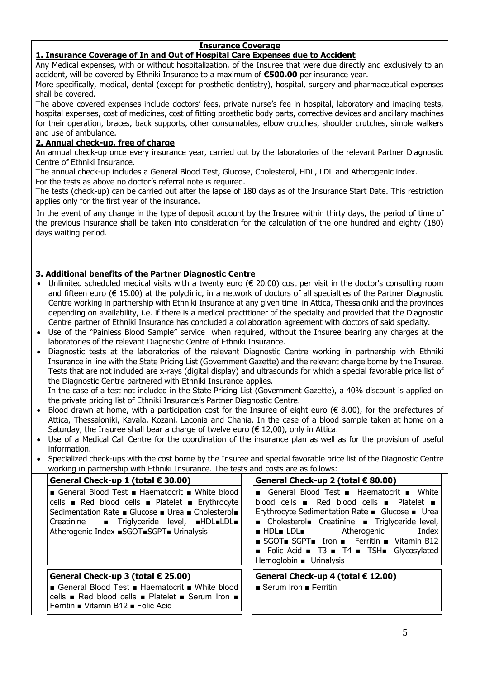# **Insurance Coverage**

## **1. Insurance Coverage of In and Out of Hospital Care Expenses due to Accident**

Any Medical expenses, with or without hospitalization, of the Insuree that were due directly and exclusively to an accident, will be covered by Ethniki Insurance to a maximum of **€500.00** per insurance year.

More specifically, medical, dental (except for prosthetic dentistry), hospital, surgery and pharmaceutical expenses shall be covered.

The above covered expenses include doctors' fees, private nurse's fee in hospital, laboratory and imaging tests, hospital expenses, cost of medicines, cost of fitting prosthetic body parts, corrective devices and ancillary machines for their operation, braces, back supports, other consumables, elbow crutches, shoulder crutches, simple walkers and use of ambulance.

# **2. Annual check-up, free of charge**

An annual check-up once every insurance year, carried out by the laboratories of the relevant Partner Diagnostic Centre of Ethniki Insurance.

The annual check-up includes a General Blood Test, Glucose, Cholesterol, HDL, LDL and Atherogenic index. For the tests as above no doctor's referral note is required.

The tests (check-up) can be carried out after the lapse of 180 days as of the Insurance Start Date. This restriction applies only for the first year of the insurance.

In the event of any change in the type of deposit account by the Insuree within thirty days, the period of time of the previous insurance shall be taken into consideration for the calculation of the one hundred and eighty (180) days waiting period.

# **3. Additional benefits of the Partner Diagnostic Centre**

- Unlimited scheduled medical visits with a twenty euro ( $\epsilon$  20.00) cost per visit in the doctor's consulting room and fifteen euro ( $\epsilon$  15.00) at the polyclinic, in a network of doctors of all specialties of the Partner Diagnostic Centre working in partnership with Ethniki Insurance at any given time in Attica, Thessaloniki and the provinces depending on availability, i.e. if there is a medical practitioner of the specialty and provided that the Diagnostic Centre partner of Ethniki Insurance has concluded a collaboration agreement with doctors of said specialty.
- Use of the "Painless Blood Sample" service when required, without the Insuree bearing any charges at the laboratories of the relevant Diagnostic Centre of Ethniki Insurance.
- Diagnostic tests at the laboratories of the relevant Diagnostic Centre working in partnership with Ethniki Insurance in line with the State Pricing List (Government Gazette) and the relevant charge borne by the Insuree. Tests that are not included are x-rays (digital display) and ultrasounds for which a special favorable price list of the Diagnostic Centre partnered with Ethniki Insurance applies.

In the case of a test not included in the State Pricing List (Government Gazette), a 40% discount is applied on the private pricing list of Ethniki Insurance's Partner Diagnostic Centre.

- $\bullet$  Blood drawn at home, with a participation cost for the Insuree of eight euro ( $\in$  8.00), for the prefectures of Attica, Thessaloniki, Kavala, Kozani, Laconia and Chania. In the case of a blood sample taken at home on a Saturday, the Insuree shall bear a charge of twelve euro ( $\epsilon$  12,00), only in Attica.
- Use of a Medical Call Centre for the coordination of the insurance plan as well as for the provision of useful information.
- Specialized check-ups with the cost borne by the Insuree and special favorable price list of the Diagnostic Centre working in partnership with Ethniki Insurance. The tests and costs are as follows:

| General Check-up 1 (total € 30.00)<br>General Blood Test Blaematocrit Mhite blood<br>cells Red blood cells Platelet Bu Erythrocyte<br>Sedimentation Rate ■ Glucose ■ Urea ■ Cholesterol■<br>Creatinine • Triglyceride level, HDL=LDL=<br>Atherogenic Index ■SGOT■SGPT■ Urinalysis | General Check-up 2 (total € 80.00)<br>General Blood Test Blaematocrit Bushite<br>blood cells $\blacksquare$ Red blood cells $\blacksquare$ Platelet $\blacksquare$<br>Erythrocyte Sedimentation Rate ■ Glucose ■ Urea<br>■ Cholesterol■ Creatinine ■ Triglyceride level,<br><b>E</b> HDL <b>E</b> LDLE Atherogenic<br>Index<br>SGOT SGPT Iron Ferritin Vitamin B12<br>■ Folic Acid ■ T3 ■ T4 ■ TSH■ Glycosylated<br>Hemoglobin $\blacksquare$ Urinalysis |
|-----------------------------------------------------------------------------------------------------------------------------------------------------------------------------------------------------------------------------------------------------------------------------------|----------------------------------------------------------------------------------------------------------------------------------------------------------------------------------------------------------------------------------------------------------------------------------------------------------------------------------------------------------------------------------------------------------------------------------------------------------|
| General Check-up 3 (total $€ 25.00$ )<br>■ General Blood Test ■ Haematocrit ■ White blood<br>cells ■ Red blood cells ■ Platelet ■ Serum Iron ■<br>Ferritin ■ Vitamin B12 ■ Folic Acid                                                                                             | General Check-up 4 (total € 12.00)<br>$\blacksquare$ Serum Iron $\blacksquare$ Ferritin                                                                                                                                                                                                                                                                                                                                                                  |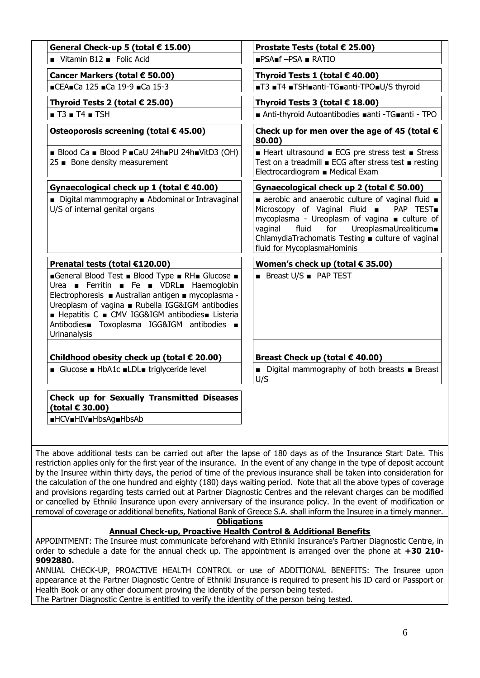| General Check-up 5 (total € 15.00)                                                                                                                                                                                                                                                                                     | Prostate Tests (total € 25.00)                                                                                                                                                                                                                                                                    |  |  |
|------------------------------------------------------------------------------------------------------------------------------------------------------------------------------------------------------------------------------------------------------------------------------------------------------------------------|---------------------------------------------------------------------------------------------------------------------------------------------------------------------------------------------------------------------------------------------------------------------------------------------------|--|--|
| Vitamin B12 Folic Acid                                                                                                                                                                                                                                                                                                 | $PSA = FSA$ $RATIO$                                                                                                                                                                                                                                                                               |  |  |
| Cancer Markers (total € 50.00)                                                                                                                                                                                                                                                                                         | Thyroid Tests 1 (total $€$ 40.00)                                                                                                                                                                                                                                                                 |  |  |
| CEA=Ca 125 Ca 19-9 Ca 15-3                                                                                                                                                                                                                                                                                             | ■T3 ■T4 ■TSH■anti-TG■anti-TPO■U/S thyroid                                                                                                                                                                                                                                                         |  |  |
| Thyroid Tests 2 (total € 25.00)                                                                                                                                                                                                                                                                                        | Thyroid Tests 3 (total $€ 18.00)$                                                                                                                                                                                                                                                                 |  |  |
| $\blacksquare$ T3 $\blacksquare$ T4 $\blacksquare$ TSH                                                                                                                                                                                                                                                                 | ■ Anti-thyroid Autoantibodies ■anti -TG■anti - TPO                                                                                                                                                                                                                                                |  |  |
| Osteoporosis screening (total € 45.00)                                                                                                                                                                                                                                                                                 | Check up for men over the age of 45 (total $\epsilon$<br>80.00)                                                                                                                                                                                                                                   |  |  |
| Blood Ca Blood P CaU 24h PU 24h VitD3 (OH)<br>25 ■ Bone density measurement                                                                                                                                                                                                                                            | ■ Heart ultrasound ■ ECG pre stress test ■ Stress<br>Test on a treadmill ■ ECG after stress test ■ resting<br>Electrocardiogram ■ Medical Exam                                                                                                                                                    |  |  |
| Gynaecological check up 1 (total € 40.00)                                                                                                                                                                                                                                                                              | Gynaecological check up 2 (total € 50.00)                                                                                                                                                                                                                                                         |  |  |
| ■ Digital mammography ■ Abdominal or Intravaginal<br>U/S of internal genital organs                                                                                                                                                                                                                                    | aerobic and anaerobic culture of vaginal fluid $\blacksquare$<br>Microscopy of Vaginal Fluid = PAP TEST<br>mycoplasma - Ureoplasm of vagina ■ culture of<br>UreoplasmaUrealiticum■<br>vaginal<br>fluid<br>for<br>ChlamydiaTrachomatis Testing ■ culture of vaginal<br>fluid for MycoplasmaHominis |  |  |
| Prenatal tests (total €120.00)                                                                                                                                                                                                                                                                                         | Women's check up (total $\epsilon$ 35.00)                                                                                                                                                                                                                                                         |  |  |
| General Blood Test Blood Type RH Glucose B<br>Urea Ferritin Fe DI VDRL Haemoglobin<br>Electrophoresis ■ Australian antigen ■ mycoplasma -<br>Ureoplasm of vagina ■ Rubella IGG&IGM antibodies<br>■ Hepatitis C ■ CMV IGG&IGM antibodies■ Listeria<br>Antibodies Toxoplasma IGG&IGM antibodies =<br><b>Urinanalysis</b> | <b>Breast U/S PAP TEST</b>                                                                                                                                                                                                                                                                        |  |  |
| Childhood obesity check up (total € 20.00)                                                                                                                                                                                                                                                                             | Breast Check up (total € 40.00)                                                                                                                                                                                                                                                                   |  |  |
| ■ Glucose ■ HbA1c ■LDL■ triglyceride level                                                                                                                                                                                                                                                                             | ■ Digital mammography of both breasts ■ Breast<br>U/S                                                                                                                                                                                                                                             |  |  |
| Check up for Sexually Transmitted Diseases<br>(total € 30.00)                                                                                                                                                                                                                                                          |                                                                                                                                                                                                                                                                                                   |  |  |
| ■HCV■HIV■HbsAg■HbsAb                                                                                                                                                                                                                                                                                                   |                                                                                                                                                                                                                                                                                                   |  |  |

The above additional tests can be carried out after the lapse of 180 days as of the Insurance Start Date. This restriction applies only for the first year of the insurance. In the event of any change in the type of deposit account by the Insuree within thirty days, the period of time of the previous insurance shall be taken into consideration for the calculation of the one hundred and eighty (180) days waiting period. Note that all the above types of coverage and provisions regarding tests carried out at Partner Diagnostic Centres and the relevant charges can be modified or cancelled by Ethniki Insurance upon every anniversary of the insurance policy. In the event of modification or removal of coverage or additional benefits, National Bank of Greece S.A. shall inform the Insuree in a timely manner.

**Obligations**

## **Annual Check-up, Proactive Health Control & Additional Benefits**

APPOINTMENT: The Insuree must communicate beforehand with Ethniki Insurance's Partner Diagnostic Centre, in order to schedule a date for the annual check up. The appointment is arranged over the phone at **+30 210- 9092880.**

ANNUAL CHECK-UP, PROACTIVE HEALTH CONTROL or use of ADDITIONAL BENEFITS: The Insuree upon appearance at the Partner Diagnostic Centre of Ethniki Insurance is required to present his ID card or Passport or Health Book or any other document proving the identity of the person being tested.

The Partner Diagnostic Centre is entitled to verify the identity of the person being tested.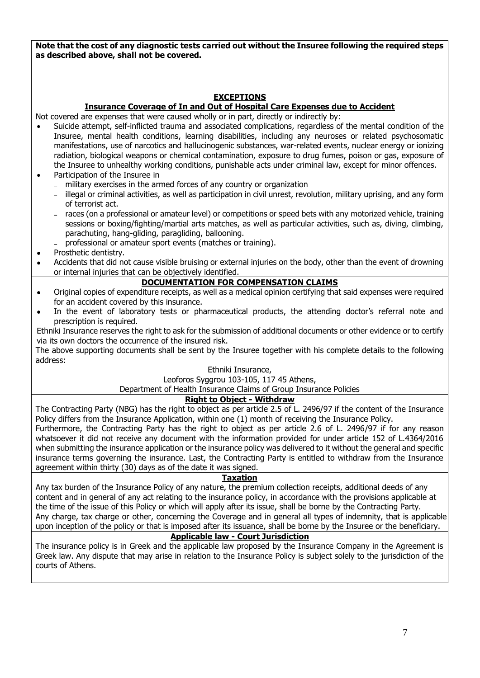**Note that the cost of any diagnostic tests carried out without the Insuree following the required steps as described above, shall not be covered.**

## **EXCEPTIONS**

### **Insurance Coverage of In and Out of Hospital Care Expenses due to Accident**

Not covered are expenses that were caused wholly or in part, directly or indirectly by:

- Suicide attempt, self-inflicted trauma and associated complications, regardless of the mental condition of the Insuree, mental health conditions, learning disabilities, including any neuroses or related psychosomatic manifestations, use of narcotics and hallucinogenic substances, war-related events, nuclear energy or ionizing radiation, biological weapons or chemical contamination, exposure to drug fumes, poison or gas, exposure of the Insuree to unhealthy working conditions, punishable acts under criminal law, except for minor offences.
- Participation of the Insuree in
	- military exercises in the armed forces of any country or organization
	- illegal or criminal activities, as well as participation in civil unrest, revolution, military uprising, and any form of terrorist act.
	- races (on a professional or amateur level) or competitions or speed bets with any motorized vehicle, training sessions or boxing/fighting/martial arts matches, as well as particular activities, such as, diving, climbing, parachuting, hang-gliding, paragliding, ballooning.
	- professional or amateur sport events (matches or training).
- Prosthetic dentistry.
- Accidents that did not cause visible bruising or external injuries on the body, other than the event of drowning or internal injuries that can be objectively identified.

### **DOCUMENTATION FOR COMPENSATION CLAIMS**

- Original copies of expenditure receipts, as well as a medical opinion certifying that said expenses were required for an accident covered by this insurance.
- In the event of laboratory tests or pharmaceutical products, the attending doctor's referral note and prescription is required.

Ethniki Insurance reserves the right to ask for the submission of additional documents or other evidence or to certify via its own doctors the occurrence of the insured risk.

The above supporting documents shall be sent by the Insuree together with his complete details to the following address:

### Ethniki Insurance,

# Leoforos Syggrou 103-105, 117 45 Athens,

Department of Health Insurance Claims of Group Insurance Policies

### **Right to Object - Withdraw**

The Contracting Party (NBG) has the right to object as per article 2.5 of L. 2496/97 if the content of the Insurance Policy differs from the Insurance Application, within one (1) month of receiving the Insurance Policy.

Furthermore, the Contracting Party has the right to object as per article 2.6 of L. 2496/97 if for any reason whatsoever it did not receive any document with the information provided for under article 152 of L.4364/2016 when submitting the insurance application or the insurance policy was delivered to it without the general and specific insurance terms governing the insurance. Last, the Contracting Party is entitled to withdraw from the Insurance agreement within thirty (30) days as of the date it was signed.

### **Taxation**

Any tax burden of the Insurance Policy of any nature, the premium collection receipts, additional deeds of any content and in general of any act relating to the insurance policy, in accordance with the provisions applicable at the time of the issue of this Policy or which will apply after its issue, shall be borne by the Contracting Party. Any charge, tax charge or other, concerning the Coverage and in general all types of indemnity, that is applicable upon inception of the policy or that is imposed after its issuance, shall be borne by the Insuree or the beneficiary.

## **Applicable law - Court Jurisdiction**

The insurance policy is in Greek and the applicable law proposed by the Insurance Company in the Agreement is Greek law. Any dispute that may arise in relation to the Insurance Policy is subject solely to the jurisdiction of the courts of Athens.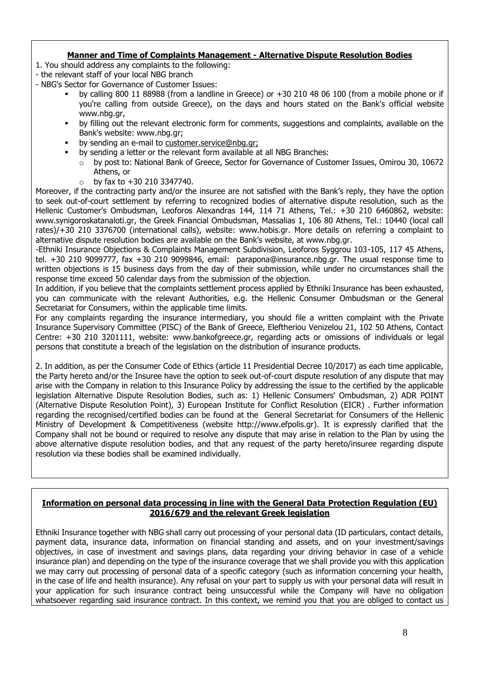# **Manner and Time of Complaints Management - Alternative Dispute Resolution Bodies**

- 1. You should address any complaints to the following:
- the relevant staff of your local NBG branch
- NBG's Sector for Governance of Customer Issues:
	- by calling 800 11 88988 (from a landline in Greece) or +30 210 48 06 100 (from a mobile phone or if you're calling from outside Greece), on the days and hours stated on the Bank's official website www.nbg.gr,
	- by filling out the relevant electronic form for comments, suggestions and complaints, available on the Bank's website: www.nbg.gr;
	- by sending an e-mail to customer.service@nbg.gr;
		- by sending a letter or the relevant form available at all NBG Branches:
		- o by post to: National Bank of Greece, Sector for Governance of Customer Issues, Omirou 30, 10672 Athens, or
		- $\circ$  by fax to +30 210 3347740.

Moreover, if the contracting party and/or the insuree are not satisfied with the Bank's reply, they have the option to seek out-of-court settlement by referring to recognized bodies of alternative dispute resolution, such as the Hellenic Customer's Ombudsman, Leoforos Alexandras 144, 114 71 Athens, Tel.: +30 210 6460862, website: www.synigoroskatanaloti.gr, the Greek Financial Ombudsman, Massalias 1, 106 80 Athens, Tel.: 10440 (local call rates)/+30 210 3376700 (international calls), website: www.hobis.gr. More details on referring a complaint to alternative dispute resolution bodies are available on the Bank's website, at www.nbg.gr.

-Ethniki Insurance Objections & Complaints Management Subdivision, Leoforos Syggrou 103-105, 117 45 Athens, tel. +30 210 9099777, fax +30 210 9099846, email: parapona@insurance.nbg.gr. The usual response time to written objections is 15 business days from the day of their submission, while under no circumstances shall the response time exceed 50 calendar days from the submission of the objection.

In addition, if you believe that the complaints settlement process applied by Ethniki Insurance has been exhausted, you can communicate with the relevant Authorities, e.g. the Hellenic Consumer Ombudsman or the General Secretariat for Consumers, within the applicable time limits.

For any complaints regarding the insurance intermediary, you should file a written complaint with the Private Insurance Supervisory Committee (PISC) of the Bank of Greece, Eleftheriou Venizelou 21, 102 50 Athens, Contact Centre: +30 210 3201111, website: www.bankofgreece.gr, regarding acts or omissions of individuals or legal persons that constitute a breach of the legislation on the distribution of insurance products.

2. In addition, as per the Consumer Code of Ethics (article 11 Presidential Decree 10/2017) as each time applicable, the Party hereto and/or the Insuree have the option to seek out-of-court dispute resolution of any dispute that may arise with the Company in relation to this Insurance Policy by addressing the issue to the certified by the applicable legislation Alternative Dispute Resolution Bodies, such as: 1) Hellenic Consumers' Ombudsman, 2) ADR POINT (Alternative Dispute Resolution Point), 3) European Institute for Conflict Resolution (EICR) . Further information regarding the recognised/certified bodies can be found at the General Secretariat for Consumers of the Hellenic Ministry of Development & Competitiveness (website http://www.efpolis.gr). It is expressly clarified that the Company shall not be bound or required to resolve any dispute that may arise in relation to the Plan by using the above alternative dispute resolution bodies, and that any request of the party hereto/insuree regarding dispute resolution via these bodies shall be examined individually.

## **Information on personal data processing in line with the General Data Protection Regulation (EU) 2016/679 and the relevant Greek legislation**

Ethniki Insurance together with NBG shall carry out processing of your personal data (ID particulars, contact details, payment data, insurance data, information on financial standing and assets, and on your investment/savings objectives, in case of investment and savings plans, data regarding your driving behavior in case of a vehicle insurance plan) and depending on the type of the insurance coverage that we shall provide you with this application we may carry out processing of personal data of a specific category (such as information concerning your health, in the case of life and health insurance). Any refusal on your part to supply us with your personal data will result in your application for such insurance contract being unsuccessful while the Company will have no obligation whatsoever regarding said insurance contract. In this context, we remind you that you are obliged to contact us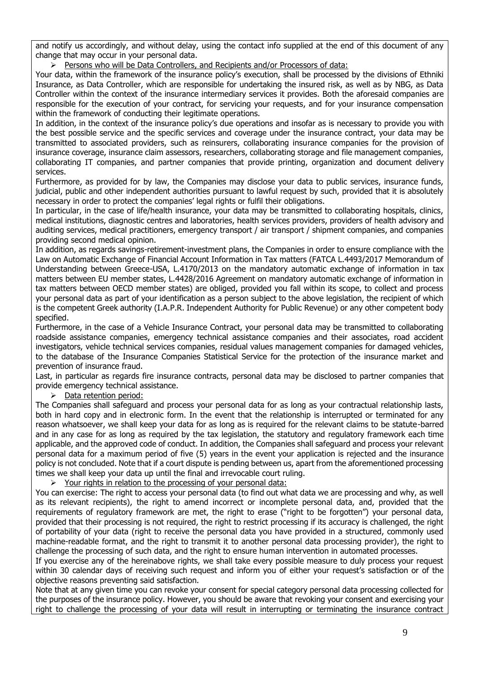and notify us accordingly, and without delay, using the contact info supplied at the end of this document of any change that may occur in your personal data.

 $\triangleright$  Persons who will be Data Controllers, and Recipients and/or Processors of data:

Your data, within the framework of the insurance policy's execution, shall be processed by the divisions of Ethniki Insurance, as Data Controller, which are responsible for undertaking the insured risk, as well as by NBG, as Data Controller within the context of the insurance intermediary services it provides. Both the aforesaid companies are responsible for the execution of your contract, for servicing your requests, and for your insurance compensation within the framework of conducting their legitimate operations.

In addition, in the context of the insurance policy's due operations and insofar as is necessary to provide you with the best possible service and the specific services and coverage under the insurance contract, your data may be transmitted to associated providers, such as reinsurers, collaborating insurance companies for the provision of insurance coverage, insurance claim assessors, researchers, collaborating storage and file management companies, collaborating IT companies, and partner companies that provide printing, organization and document delivery services.

Furthermore, as provided for by law, the Companies may disclose your data to public services, insurance funds, judicial, public and other independent authorities pursuant to lawful request by such, provided that it is absolutely necessary in order to protect the companies' legal rights or fulfil their obligations.

In particular, in the case of life/health insurance, your data may be transmitted to collaborating hospitals, clinics, medical institutions, diagnostic centres and laboratories, health services providers, providers of health advisory and auditing services, medical practitioners, emergency transport / air transport / shipment companies, and companies providing second medical opinion.

In addition, as regards savings-retirement-investment plans, the Companies in order to ensure compliance with the Law on Automatic Exchange of Financial Account Information in Tax matters (FATCA L.4493/2017 Memorandum of Understanding between Greece-USA, L.4170/2013 on the mandatory automatic exchange of information in tax matters between EU member states, L.4428/2016 Agreement on mandatory automatic exchange of information in tax matters between OECD member states) are obliged, provided you fall within its scope, to collect and process your personal data as part of your identification as a person subject to the above legislation, the recipient of which is the competent Greek authority (I.A.P.R. Independent Authority for Public Revenue) or any other competent body specified.

Furthermore, in the case of a Vehicle Insurance Contract, your personal data may be transmitted to collaborating roadside assistance companies, emergency technical assistance companies and their associates, road accident investigators, vehicle technical services companies, residual values management companies for damaged vehicles, to the database of the Insurance Companies Statistical Service for the protection of the insurance market and prevention of insurance fraud.

Last, in particular as regards fire insurance contracts, personal data may be disclosed to partner companies that provide emergency technical assistance.

Data retention period:

The Companies shall safeguard and process your personal data for as long as your contractual relationship lasts, both in hard copy and in electronic form. In the event that the relationship is interrupted or terminated for any reason whatsoever, we shall keep your data for as long as is required for the relevant claims to be statute-barred and in any case for as long as required by the tax legislation, the statutory and regulatory framework each time applicable, and the approved code of conduct. In addition, the Companies shall safeguard and process your relevant personal data for a maximum period of five (5) years in the event your application is rejected and the insurance policy is not concluded. Note that if a court dispute is pending between us, apart from the aforementioned processing times we shall keep your data up until the final and irrevocable court ruling.

 $\triangleright$  Your rights in relation to the processing of your personal data:

You can exercise: The right to access your personal data (to find out what data we are processing and why, as well as its relevant recipients), the right to amend incorrect or incomplete personal data, and, provided that the requirements of regulatory framework are met, the right to erase ("right to be forgotten") your personal data, provided that their processing is not required, the right to restrict processing if its accuracy is challenged, the right of portability of your data (right to receive the personal data you have provided in a structured, commonly used machine-readable format, and the right to transmit it to another personal data processing provider), the right to challenge the processing of such data, and the right to ensure human intervention in automated processes.

If you exercise any of the hereinabove rights, we shall take every possible measure to duly process your request within 30 calendar days of receiving such request and inform you of either your request's satisfaction or of the objective reasons preventing said satisfaction.

Note that at any given time you can revoke your consent for special category personal data processing collected for the purposes of the insurance policy. However, you should be aware that revoking your consent and exercising your right to challenge the processing of your data will result in interrupting or terminating the insurance contract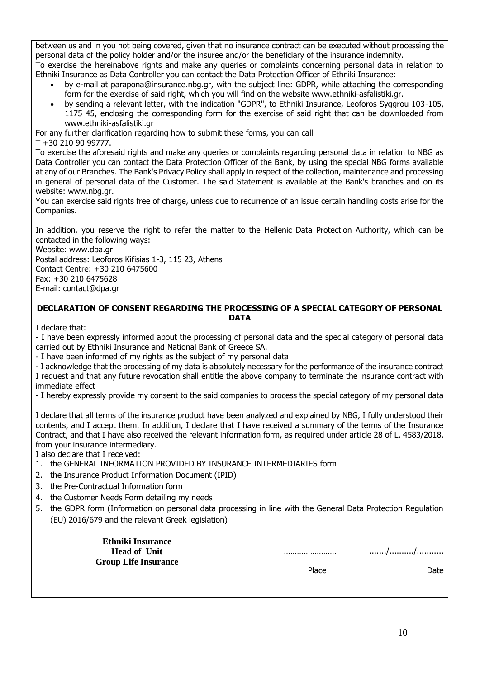between us and in you not being covered, given that no insurance contract can be executed without processing the personal data of the policy holder and/or the insuree and/or the beneficiary of the insurance indemnity. To exercise the hereinabove rights and make any queries or complaints concerning personal data in relation to

- Ethniki Insurance as Data Controller you can contact the Data Protection Officer of Ethniki Insurance:
	- by e-mail at parapona@insurance.nbg.gr, with the subject line: GDPR, while attaching the corresponding form for the exercise of said right, which you will find on the website www.ethniki-asfalistiki.gr.
	- by sending a relevant letter, with the indication "GDPR", to Ethniki Insurance, Leoforos Syggrou 103-105, 1175 45, enclosing the corresponding form for the exercise of said right that can be downloaded from www.ethniki-asfalistiki.gr

For any further clarification regarding how to submit these forms, you can call T +30 210 90 99777.

To exercise the aforesaid rights and make any queries or complaints regarding personal data in relation to NBG as Data Controller you can contact the Data Protection Officer of the Bank, by using the special NBG forms available at any of our Branches. The Bank's Privacy Policy shall apply in respect of the collection, maintenance and processing in general of personal data of the Customer. The said Statement is available at the Bank's branches and on its website: www.nbg.gr.

You can exercise said rights free of charge, unless due to recurrence of an issue certain handling costs arise for the Companies.

In addition, you reserve the right to refer the matter to the Hellenic Data Protection Authority, which can be contacted in the following ways:

Website: www.dpa.gr

Postal address: Leoforos Kifisias 1-3, 115 23, Athens Contact Centre: +30 210 6475600 Fax: +30 210 6475628 E-mail: contact@dpa.gr

## **DECLARATION OF CONSENT REGARDING THE PROCESSING OF A SPECIAL CATEGORY OF PERSONAL DATA**

I declare that:

- I have been expressly informed about the processing of personal data and the special category of personal data carried out by Ethniki Insurance and National Bank of Greece SA.

- I have been informed of my rights as the subject of my personal data

- I acknowledge that the processing of my data is absolutely necessary for the performance of the insurance contract

I request and that any future revocation shall entitle the above company to terminate the insurance contract with immediate effect

- I hereby expressly provide my consent to the said companies to process the special category of my personal data

I declare that all terms of the insurance product have been analyzed and explained by NBG, I fully understood their contents, and I accept them. In addition, I declare that I have received a summary of the terms of the Insurance Contract, and that I have also received the relevant information form, as required under article 28 of L. 4583/2018, from your insurance intermediary.

I also declare that I received:

- 1. the GENERAL INFORMATION PROVIDED BY INSURANCE INTERMEDIARIES form
- 2. the Insurance Product Information Document (IPID)
- 3. the Pre-Contractual Information form
- 4. the Customer Needs Form detailing my needs
- 5. the GDPR form (Information on personal data processing in line with the General Data Protection Regulation (EU) 2016/679 and the relevant Greek legislation)

| <b>Ethniki Insurance</b>    |       |      |
|-----------------------------|-------|------|
| <b>Head of Unit</b>         |       | //   |
| <b>Group Life Insurance</b> |       |      |
|                             | Place | Date |
|                             |       |      |